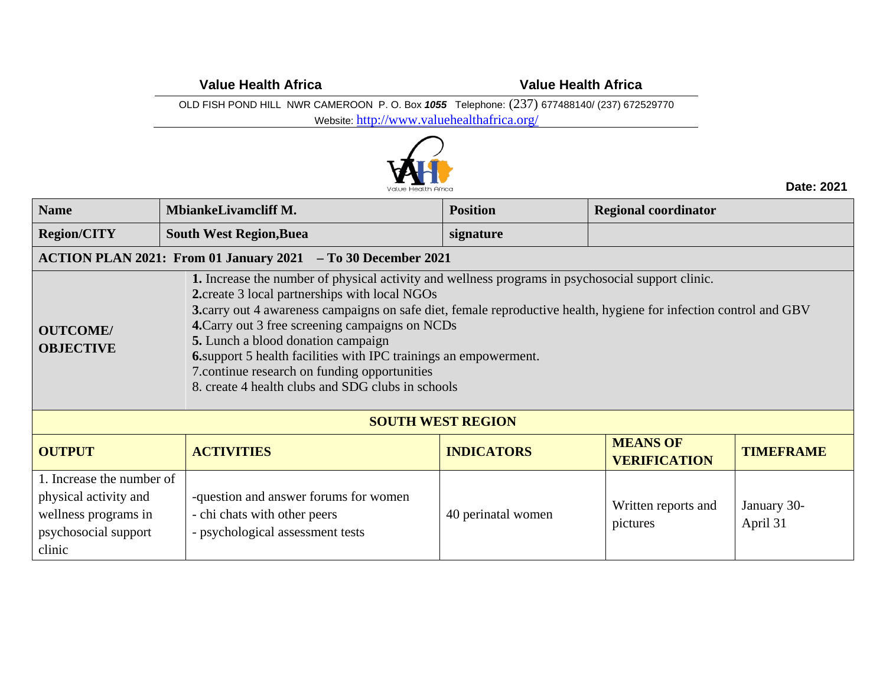**Value Health Africa Value Health Africa**

OLD FISH POND HILL NWR CAMEROON P. O. Box *1055* Telephone: (237) 677488140/ (237) 672529770

Website: <http://www.valuehealthafrica.org/>



**Date: 2021**

| <b>Name</b>                                                                                                                                                                                                                                                                                                                                                                                                                                                                                                                                                                                       | <b>MbiankeLivamcliff M.</b>                                                                               | <b>Position</b>          | <b>Regional coordinator</b>            |                         |
|---------------------------------------------------------------------------------------------------------------------------------------------------------------------------------------------------------------------------------------------------------------------------------------------------------------------------------------------------------------------------------------------------------------------------------------------------------------------------------------------------------------------------------------------------------------------------------------------------|-----------------------------------------------------------------------------------------------------------|--------------------------|----------------------------------------|-------------------------|
| <b>Region/CITY</b>                                                                                                                                                                                                                                                                                                                                                                                                                                                                                                                                                                                | <b>South West Region, Buea</b>                                                                            | signature                |                                        |                         |
|                                                                                                                                                                                                                                                                                                                                                                                                                                                                                                                                                                                                   | ACTION PLAN 2021: From 01 January 2021 - To 30 December 2021                                              |                          |                                        |                         |
| 1. Increase the number of physical activity and wellness programs in psychosocial support clinic.<br>2. create 3 local partnerships with local NGOs<br>3.carry out 4 awareness campaigns on safe diet, female reproductive health, hygiene for infection control and GBV<br>4. Carry out 3 free screening campaigns on NCDs<br><b>OUTCOME/</b><br><b>5.</b> Lunch a blood donation campaign<br><b>OBJECTIVE</b><br><b>6.</b> support 5 health facilities with IPC trainings an empowerment.<br>7. continue research on funding opportunities<br>8. create 4 health clubs and SDG clubs in schools |                                                                                                           |                          |                                        |                         |
|                                                                                                                                                                                                                                                                                                                                                                                                                                                                                                                                                                                                   |                                                                                                           | <b>SOUTH WEST REGION</b> |                                        |                         |
| <b>OUTPUT</b>                                                                                                                                                                                                                                                                                                                                                                                                                                                                                                                                                                                     | <b>ACTIVITIES</b>                                                                                         | <b>INDICATORS</b>        | <b>MEANS OF</b><br><b>VERIFICATION</b> | <b>TIMEFRAME</b>        |
| 1. Increase the number of<br>physical activity and<br>wellness programs in<br>psychosocial support<br>clinic                                                                                                                                                                                                                                                                                                                                                                                                                                                                                      | -question and answer forums for women<br>- chi chats with other peers<br>- psychological assessment tests | 40 perinatal women       | Written reports and<br>pictures        | January 30-<br>April 31 |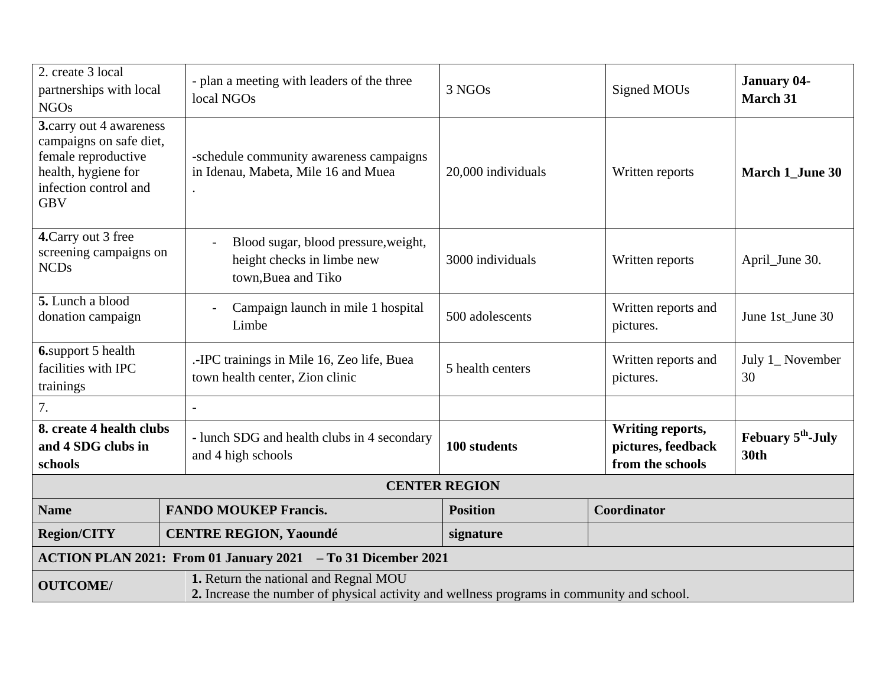| 2. create 3 local<br>partnerships with local<br><b>NGOs</b>                                                                                            | - plan a meeting with leaders of the three<br>local NGOs                                  | 3 NGOs               | Signed MOUs                                                | <b>January 04-</b><br><b>March 31</b>        |  |
|--------------------------------------------------------------------------------------------------------------------------------------------------------|-------------------------------------------------------------------------------------------|----------------------|------------------------------------------------------------|----------------------------------------------|--|
| 3.carry out 4 awareness<br>campaigns on safe diet,<br>female reproductive<br>health, hygiene for<br>infection control and<br><b>GBV</b>                | -schedule community awareness campaigns<br>in Idenau, Mabeta, Mile 16 and Muea            | 20,000 individuals   | Written reports                                            | <b>March 1_June 30</b>                       |  |
| 4. Carry out 3 free<br>screening campaigns on<br><b>NCDs</b>                                                                                           | Blood sugar, blood pressure, weight,<br>height checks in limbe new<br>town, Buea and Tiko | 3000 individuals     | Written reports                                            | April_June 30.                               |  |
| 5. Lunch a blood<br>donation campaign                                                                                                                  | Campaign launch in mile 1 hospital<br>Limbe                                               | 500 adolescents      | Written reports and<br>pictures.                           | June 1st_June 30                             |  |
| 6.support 5 health<br>facilities with IPC<br>trainings                                                                                                 | .-IPC trainings in Mile 16, Zeo life, Buea<br>town health center, Zion clinic             | 5 health centers     | Written reports and<br>pictures.                           | July 1_ November<br>30                       |  |
| 7.                                                                                                                                                     |                                                                                           |                      |                                                            |                                              |  |
| 8. create 4 health clubs<br>and 4 SDG clubs in<br>schools                                                                                              | - lunch SDG and health clubs in 4 secondary<br>and 4 high schools                         | 100 students         | Writing reports,<br>pictures, feedback<br>from the schools | Febuary 5 <sup>th</sup> -July<br><b>30th</b> |  |
|                                                                                                                                                        |                                                                                           | <b>CENTER REGION</b> |                                                            |                                              |  |
| <b>Name</b>                                                                                                                                            | <b>FANDO MOUKEP Francis.</b>                                                              | <b>Position</b>      | Coordinator                                                |                                              |  |
| <b>Region/CITY</b>                                                                                                                                     | <b>CENTRE REGION, Yaoundé</b>                                                             | signature            |                                                            |                                              |  |
| ACTION PLAN 2021: From 01 January 2021 - To 31 Dicember 2021                                                                                           |                                                                                           |                      |                                                            |                                              |  |
| 1. Return the national and Regnal MOU<br><b>OUTCOME/</b><br>2. Increase the number of physical activity and wellness programs in community and school. |                                                                                           |                      |                                                            |                                              |  |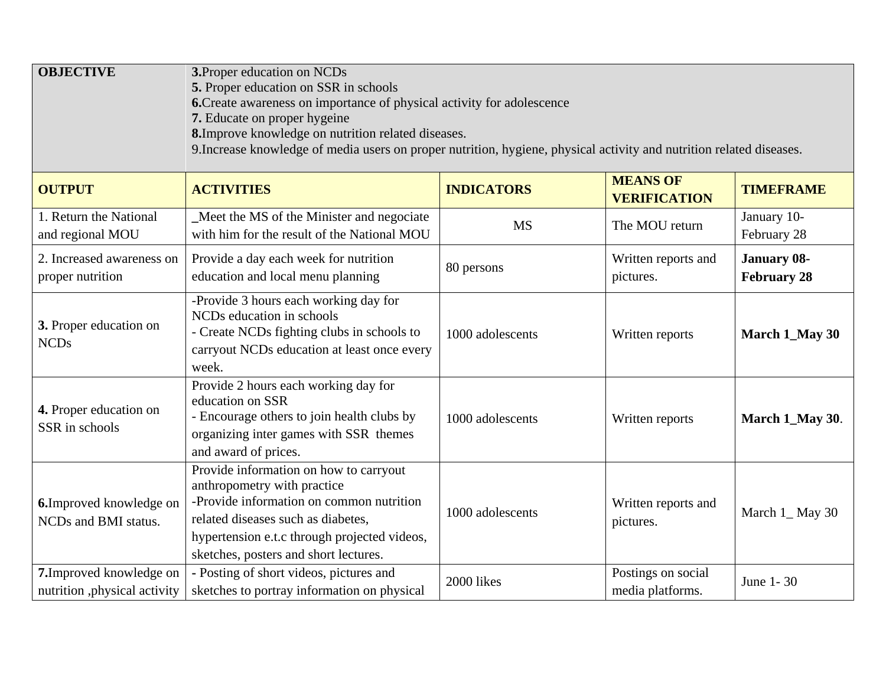| <b>OBJECTIVE</b><br>3. Proper education on NCDs<br>5. Proper education on SSR in schools<br>6. Create awareness on importance of physical activity for adolescence<br>7. Educate on proper hygeine<br>8. Improve knowledge on nutrition related diseases.<br>9. Increase knowledge of media users on proper nutrition, hygiene, physical activity and nutrition related diseases. |                                                                                                                                                                                                                                                  |                   |                                        |                                          |  |
|-----------------------------------------------------------------------------------------------------------------------------------------------------------------------------------------------------------------------------------------------------------------------------------------------------------------------------------------------------------------------------------|--------------------------------------------------------------------------------------------------------------------------------------------------------------------------------------------------------------------------------------------------|-------------------|----------------------------------------|------------------------------------------|--|
| <b>OUTPUT</b>                                                                                                                                                                                                                                                                                                                                                                     | <b>ACTIVITIES</b>                                                                                                                                                                                                                                | <b>INDICATORS</b> | <b>MEANS OF</b><br><b>VERIFICATION</b> | <b>TIMEFRAME</b>                         |  |
| 1. Return the National<br>and regional MOU                                                                                                                                                                                                                                                                                                                                        | Meet the MS of the Minister and negociate<br>with him for the result of the National MOU                                                                                                                                                         | <b>MS</b>         | The MOU return                         | January 10-<br>February 28               |  |
| 2. Increased awareness on<br>proper nutrition                                                                                                                                                                                                                                                                                                                                     | Provide a day each week for nutrition<br>education and local menu planning                                                                                                                                                                       | 80 persons        | Written reports and<br>pictures.       | <b>January 08-</b><br><b>February 28</b> |  |
| 3. Proper education on<br><b>NCDs</b>                                                                                                                                                                                                                                                                                                                                             | -Provide 3 hours each working day for<br>NCDs education in schools<br>- Create NCDs fighting clubs in schools to<br>carryout NCDs education at least once every<br>week.                                                                         | 1000 adolescents  | Written reports                        | March 1_May 30                           |  |
| 4. Proper education on<br>SSR in schools                                                                                                                                                                                                                                                                                                                                          | Provide 2 hours each working day for<br>education on SSR<br>- Encourage others to join health clubs by<br>organizing inter games with SSR themes<br>and award of prices.                                                                         | 1000 adolescents  | Written reports                        | March 1_May 30.                          |  |
| <b>6.</b> Improved knowledge on<br>NCDs and BMI status.                                                                                                                                                                                                                                                                                                                           | Provide information on how to carryout<br>anthropometry with practice<br>-Provide information on common nutrition<br>related diseases such as diabetes,<br>hypertension e.t.c through projected videos,<br>sketches, posters and short lectures. | 1000 adolescents  | Written reports and<br>pictures.       | March 1_May 30                           |  |
| 7. Improved knowledge on<br>nutrition, physical activity                                                                                                                                                                                                                                                                                                                          | - Posting of short videos, pictures and<br>sketches to portray information on physical                                                                                                                                                           | 2000 likes        | Postings on social<br>media platforms. | June 1-30                                |  |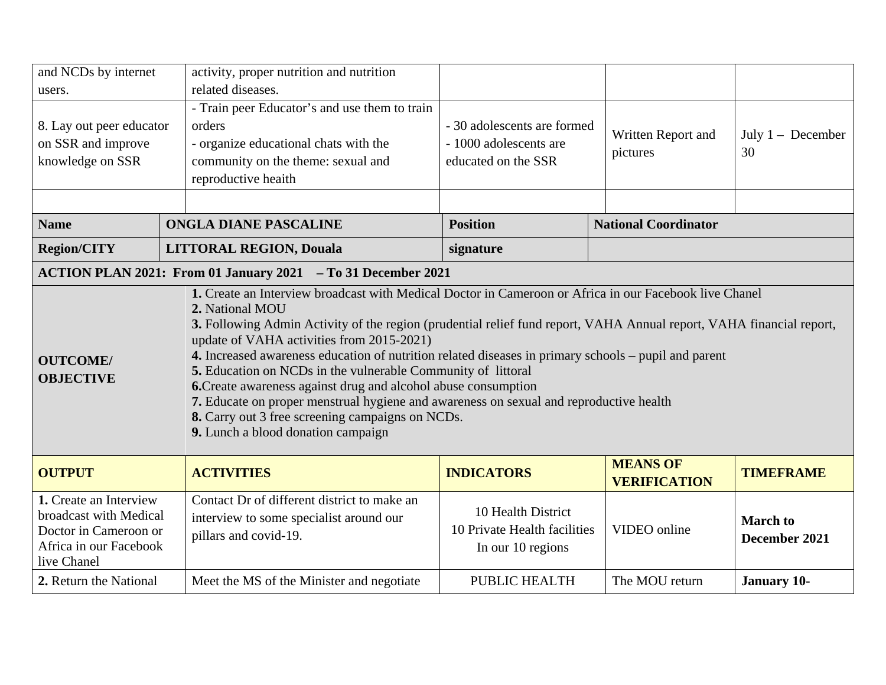| and NCDs by internet                                                                                                                                                                                                                                                                                                                                                                                                                                                                                                                                                                                                                                                                                                                                                |  | activity, proper nutrition and nutrition                                                                                                                      |                                                                              |                                        |                                  |
|---------------------------------------------------------------------------------------------------------------------------------------------------------------------------------------------------------------------------------------------------------------------------------------------------------------------------------------------------------------------------------------------------------------------------------------------------------------------------------------------------------------------------------------------------------------------------------------------------------------------------------------------------------------------------------------------------------------------------------------------------------------------|--|---------------------------------------------------------------------------------------------------------------------------------------------------------------|------------------------------------------------------------------------------|----------------------------------------|----------------------------------|
| users.                                                                                                                                                                                                                                                                                                                                                                                                                                                                                                                                                                                                                                                                                                                                                              |  | related diseases.                                                                                                                                             |                                                                              |                                        |                                  |
| 8. Lay out peer educator<br>on SSR and improve<br>knowledge on SSR                                                                                                                                                                                                                                                                                                                                                                                                                                                                                                                                                                                                                                                                                                  |  | - Train peer Educator's and use them to train<br>orders<br>- organize educational chats with the<br>community on the theme: sexual and<br>reproductive heaith | - 30 adolescents are formed<br>- 1000 adolescents are<br>educated on the SSR | Written Report and<br>pictures         | July $1 -$ December<br>30        |
|                                                                                                                                                                                                                                                                                                                                                                                                                                                                                                                                                                                                                                                                                                                                                                     |  |                                                                                                                                                               |                                                                              |                                        |                                  |
| <b>Name</b>                                                                                                                                                                                                                                                                                                                                                                                                                                                                                                                                                                                                                                                                                                                                                         |  | <b>ONGLA DIANE PASCALINE</b>                                                                                                                                  | <b>Position</b>                                                              | <b>National Coordinator</b>            |                                  |
| <b>Region/CITY</b>                                                                                                                                                                                                                                                                                                                                                                                                                                                                                                                                                                                                                                                                                                                                                  |  | <b>LITTORAL REGION, Douala</b>                                                                                                                                | signature                                                                    |                                        |                                  |
|                                                                                                                                                                                                                                                                                                                                                                                                                                                                                                                                                                                                                                                                                                                                                                     |  | ACTION PLAN 2021: From 01 January 2021 - To 31 December 2021                                                                                                  |                                                                              |                                        |                                  |
| 1. Create an Interview broadcast with Medical Doctor in Cameroon or Africa in our Facebook live Chanel<br>2. National MOU<br>3. Following Admin Activity of the region (prudential relief fund report, VAHA Annual report, VAHA financial report,<br>update of VAHA activities from 2015-2021)<br>4. Increased awareness education of nutrition related diseases in primary schools – pupil and parent<br><b>OUTCOME/</b><br>5. Education on NCDs in the vulnerable Community of littoral<br><b>OBJECTIVE</b><br>6. Create awareness against drug and alcohol abuse consumption<br>7. Educate on proper menstrual hygiene and awareness on sexual and reproductive health<br>8. Carry out 3 free screening campaigns on NCDs.<br>9. Lunch a blood donation campaign |  |                                                                                                                                                               |                                                                              |                                        |                                  |
| <b>OUTPUT</b>                                                                                                                                                                                                                                                                                                                                                                                                                                                                                                                                                                                                                                                                                                                                                       |  | <b>ACTIVITIES</b>                                                                                                                                             | <b>INDICATORS</b>                                                            | <b>MEANS OF</b><br><b>VERIFICATION</b> | <b>TIMEFRAME</b>                 |
| 1. Create an Interview<br>broadcast with Medical<br>Doctor in Cameroon or<br>Africa in our Facebook<br>live Chanel                                                                                                                                                                                                                                                                                                                                                                                                                                                                                                                                                                                                                                                  |  | Contact Dr of different district to make an<br>interview to some specialist around our<br>pillars and covid-19.                                               | 10 Health District<br>10 Private Health facilities<br>In our 10 regions      | VIDEO online                           | <b>March</b> to<br>December 2021 |
| 2. Return the National                                                                                                                                                                                                                                                                                                                                                                                                                                                                                                                                                                                                                                                                                                                                              |  | Meet the MS of the Minister and negotiate                                                                                                                     | PUBLIC HEALTH                                                                | The MOU return                         | <b>January 10-</b>               |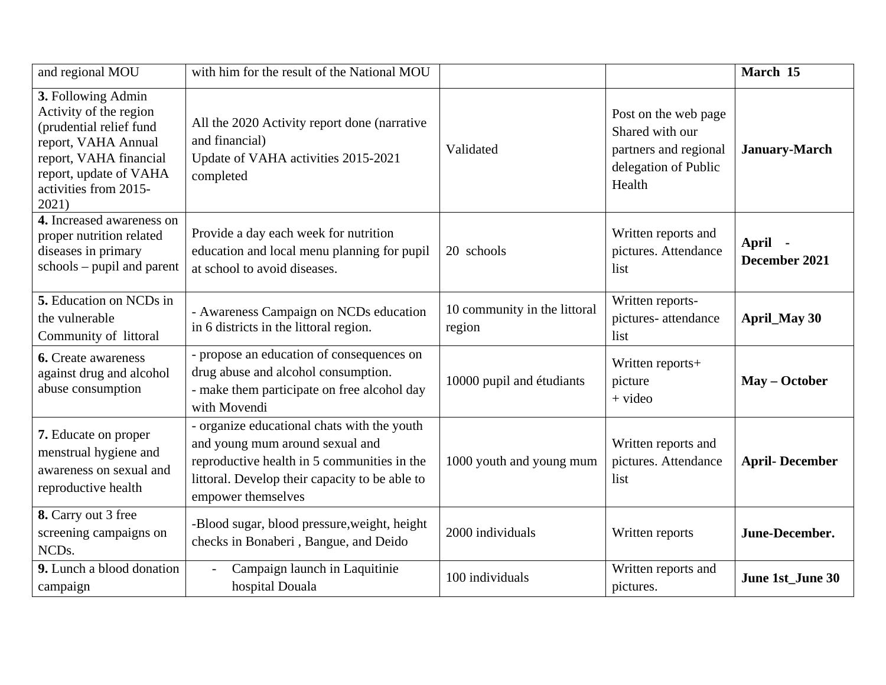| and regional MOU                                                                                                                                                                     | with him for the result of the National MOU                                                                                                                                                           |                                        |                                                                                                    | March 15                 |
|--------------------------------------------------------------------------------------------------------------------------------------------------------------------------------------|-------------------------------------------------------------------------------------------------------------------------------------------------------------------------------------------------------|----------------------------------------|----------------------------------------------------------------------------------------------------|--------------------------|
| 3. Following Admin<br>Activity of the region<br>(prudential relief fund<br>report, VAHA Annual<br>report, VAHA financial<br>report, update of VAHA<br>activities from 2015-<br>2021) | All the 2020 Activity report done (narrative<br>and financial)<br>Update of VAHA activities 2015-2021<br>completed                                                                                    | Validated                              | Post on the web page<br>Shared with our<br>partners and regional<br>delegation of Public<br>Health | <b>January-March</b>     |
| 4. Increased awareness on<br>proper nutrition related<br>diseases in primary<br>$schools - pupil$ and parent                                                                         | Provide a day each week for nutrition<br>education and local menu planning for pupil<br>at school to avoid diseases.                                                                                  | 20 schools                             | Written reports and<br>pictures. Attendance<br>list                                                | April -<br>December 2021 |
| 5. Education on NCDs in<br>the vulnerable<br>Community of littoral                                                                                                                   | - Awareness Campaign on NCDs education<br>in 6 districts in the littoral region.                                                                                                                      | 10 community in the littoral<br>region | Written reports-<br>pictures-attendance<br>list                                                    | <b>April_May 30</b>      |
| <b>6.</b> Create awareness<br>against drug and alcohol<br>abuse consumption                                                                                                          | - propose an education of consequences on<br>drug abuse and alcohol consumption.<br>- make them participate on free alcohol day<br>with Movendi                                                       | 10000 pupil and étudiants              | Written reports+<br>picture<br>$+$ video                                                           | May - October            |
| 7. Educate on proper<br>menstrual hygiene and<br>awareness on sexual and<br>reproductive health                                                                                      | - organize educational chats with the youth<br>and young mum around sexual and<br>reproductive health in 5 communities in the<br>littoral. Develop their capacity to be able to<br>empower themselves | 1000 youth and young mum               | Written reports and<br>pictures. Attendance<br>list                                                | <b>April-December</b>    |
| 8. Carry out 3 free<br>screening campaigns on<br>NCD <sub>s</sub> .                                                                                                                  | -Blood sugar, blood pressure, weight, height<br>checks in Bonaberi, Bangue, and Deido                                                                                                                 | 2000 individuals                       | Written reports                                                                                    | June-December.           |
| 9. Lunch a blood donation<br>campaign                                                                                                                                                | Campaign launch in Laquitinie<br>hospital Douala                                                                                                                                                      | 100 individuals                        | Written reports and<br>pictures.                                                                   | June 1st_June 30         |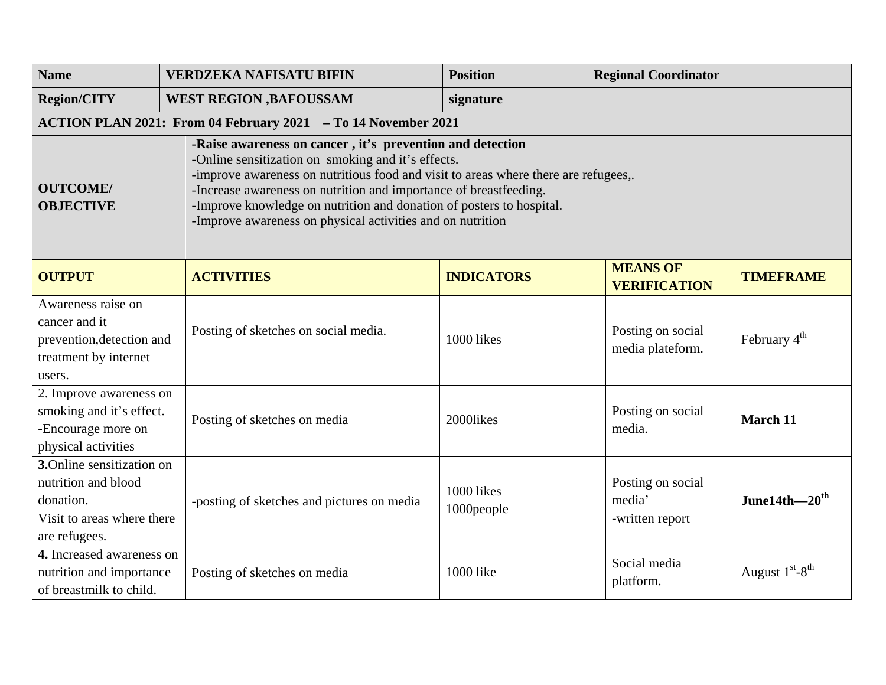| <b>Name</b>                                                                                                                                                                                                                                                                                                                                                                                                                                              | <b>VERDZEKA NAFISATU BIFIN</b>                                | <b>Position</b>          | <b>Regional Coordinator</b>                    |                                       |  |
|----------------------------------------------------------------------------------------------------------------------------------------------------------------------------------------------------------------------------------------------------------------------------------------------------------------------------------------------------------------------------------------------------------------------------------------------------------|---------------------------------------------------------------|--------------------------|------------------------------------------------|---------------------------------------|--|
| <b>Region/CITY</b>                                                                                                                                                                                                                                                                                                                                                                                                                                       | <b>WEST REGION , BAFOUSSAM</b>                                | signature                |                                                |                                       |  |
|                                                                                                                                                                                                                                                                                                                                                                                                                                                          | ACTION PLAN 2021: From 04 February 2021 - To 14 November 2021 |                          |                                                |                                       |  |
| -Raise awareness on cancer, it's prevention and detection<br>-Online sensitization on smoking and it's effects.<br>-improve awareness on nutritious food and visit to areas where there are refugees,.<br><b>OUTCOME/</b><br>-Increase awareness on nutrition and importance of breastfeeding.<br><b>OBJECTIVE</b><br>-Improve knowledge on nutrition and donation of posters to hospital.<br>-Improve awareness on physical activities and on nutrition |                                                               |                          |                                                |                                       |  |
| <b>OUTPUT</b>                                                                                                                                                                                                                                                                                                                                                                                                                                            | <b>ACTIVITIES</b>                                             | <b>INDICATORS</b>        | <b>MEANS OF</b><br><b>VERIFICATION</b>         | <b>TIMEFRAME</b>                      |  |
| Awareness raise on<br>cancer and it<br>prevention, detection and<br>treatment by internet<br>users.                                                                                                                                                                                                                                                                                                                                                      | Posting of sketches on social media.                          | 1000 likes               | Posting on social<br>media plateform.          | February $4th$                        |  |
| 2. Improve awareness on<br>smoking and it's effect.<br>-Encourage more on<br>physical activities                                                                                                                                                                                                                                                                                                                                                         | Posting of sketches on media                                  | 2000likes                | Posting on social<br>media.                    | March 11                              |  |
| 3.Online sensitization on<br>nutrition and blood<br>donation.<br>Visit to areas where there<br>are refugees.                                                                                                                                                                                                                                                                                                                                             | -posting of sketches and pictures on media                    | 1000 likes<br>1000people | Posting on social<br>media'<br>-written report | June14th $-20^{\text{th}}$            |  |
| 4. Increased awareness on<br>nutrition and importance<br>of breastmilk to child.                                                                                                                                                                                                                                                                                                                                                                         | Posting of sketches on media                                  | 1000 like                | Social media<br>platform.                      | August $1^{\rm st}\text{-}8^{\rm th}$ |  |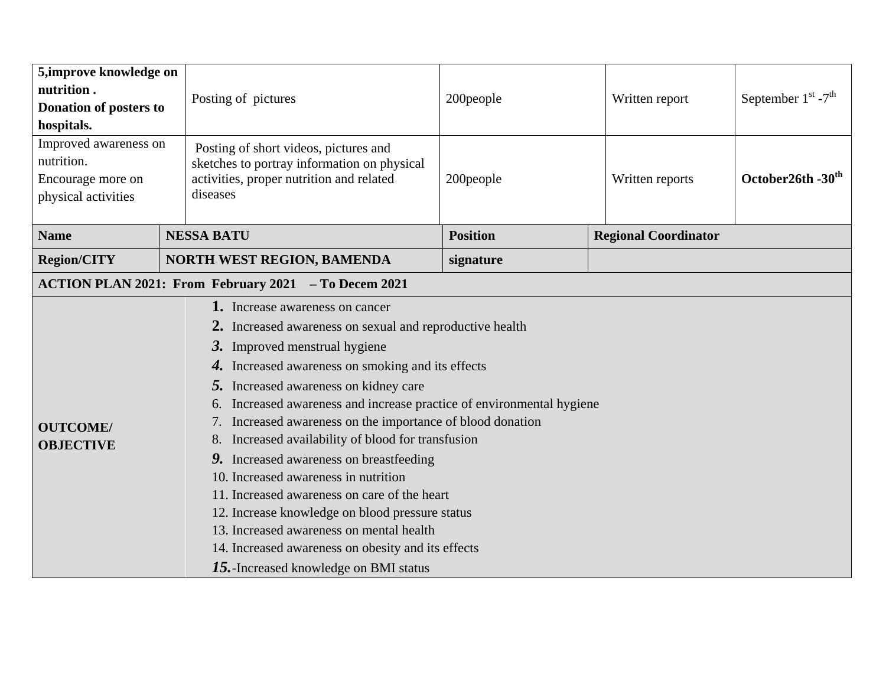| 5, improve knowledge on<br>nutrition.<br>Donation of posters to<br>hospitals.   | Posting of pictures                                                                                                                                                                                                                                                                                                                                                                                                                                                                                                                                                                                                                                                                                                                                      | 200people       | Written report              | September $1^{st}$ -7 <sup>th</sup> |
|---------------------------------------------------------------------------------|----------------------------------------------------------------------------------------------------------------------------------------------------------------------------------------------------------------------------------------------------------------------------------------------------------------------------------------------------------------------------------------------------------------------------------------------------------------------------------------------------------------------------------------------------------------------------------------------------------------------------------------------------------------------------------------------------------------------------------------------------------|-----------------|-----------------------------|-------------------------------------|
| Improved awareness on<br>nutrition.<br>Encourage more on<br>physical activities | Posting of short videos, pictures and<br>sketches to portray information on physical<br>activities, proper nutrition and related<br>diseases                                                                                                                                                                                                                                                                                                                                                                                                                                                                                                                                                                                                             | 200people       | Written reports             | October26th -30 <sup>th</sup>       |
| <b>Name</b>                                                                     | <b>NESSA BATU</b>                                                                                                                                                                                                                                                                                                                                                                                                                                                                                                                                                                                                                                                                                                                                        | <b>Position</b> | <b>Regional Coordinator</b> |                                     |
| <b>Region/CITY</b>                                                              | <b>NORTH WEST REGION, BAMENDA</b>                                                                                                                                                                                                                                                                                                                                                                                                                                                                                                                                                                                                                                                                                                                        | signature       |                             |                                     |
|                                                                                 | ACTION PLAN 2021: From February 2021 - To Decem 2021                                                                                                                                                                                                                                                                                                                                                                                                                                                                                                                                                                                                                                                                                                     |                 |                             |                                     |
| <b>OUTCOME/</b><br><b>OBJECTIVE</b>                                             | 1. Increase awareness on cancer<br>2. Increased awareness on sexual and reproductive health<br>3. Improved menstrual hygiene<br>4. Increased awareness on smoking and its effects<br>5. Increased awareness on kidney care<br>6. Increased awareness and increase practice of environmental hygiene<br>Increased awareness on the importance of blood donation<br>Increased availability of blood for transfusion<br>8.<br>9. Increased awareness on breastfeeding<br>10. Increased awareness in nutrition<br>11. Increased awareness on care of the heart<br>12. Increase knowledge on blood pressure status<br>13. Increased awareness on mental health<br>14. Increased awareness on obesity and its effects<br>15. Increased knowledge on BMI status |                 |                             |                                     |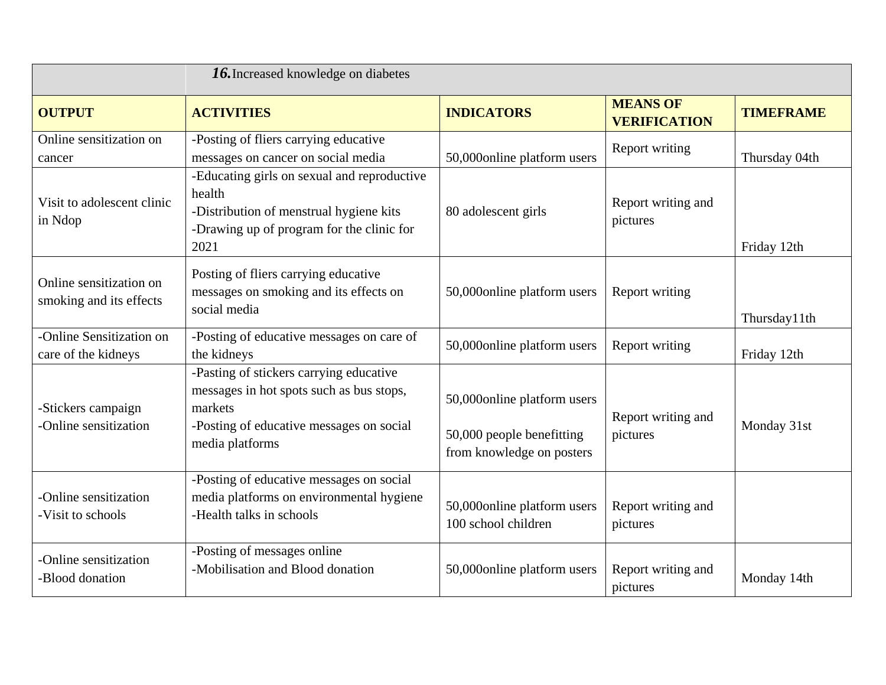| <b>16.</b> Increased knowledge on diabetes         |                                                                                                                                                               |                                                                                       |                                        |                  |
|----------------------------------------------------|---------------------------------------------------------------------------------------------------------------------------------------------------------------|---------------------------------------------------------------------------------------|----------------------------------------|------------------|
| <b>OUTPUT</b>                                      | <b>ACTIVITIES</b>                                                                                                                                             | <b>INDICATORS</b>                                                                     | <b>MEANS OF</b><br><b>VERIFICATION</b> | <b>TIMEFRAME</b> |
| Online sensitization on<br>cancer                  | -Posting of fliers carrying educative<br>messages on cancer on social media                                                                                   | 50,000online platform users                                                           | Report writing                         | Thursday 04th    |
| Visit to adolescent clinic<br>in Ndop              | -Educating girls on sexual and reproductive<br>health<br>-Distribution of menstrual hygiene kits<br>-Drawing up of program for the clinic for<br>2021         | 80 adolescent girls                                                                   | Report writing and<br>pictures         | Friday 12th      |
| Online sensitization on<br>smoking and its effects | Posting of fliers carrying educative<br>messages on smoking and its effects on<br>social media                                                                | 50,000online platform users                                                           | Report writing                         | Thursday11th     |
| -Online Sensitization on<br>care of the kidneys    | -Posting of educative messages on care of<br>the kidneys                                                                                                      | 50,000online platform users                                                           | Report writing                         | Friday 12th      |
| -Stickers campaign<br>-Online sensitization        | -Pasting of stickers carrying educative<br>messages in hot spots such as bus stops,<br>markets<br>-Posting of educative messages on social<br>media platforms | 50,000online platform users<br>50,000 people benefitting<br>from knowledge on posters | Report writing and<br>pictures         | Monday 31st      |
| -Online sensitization<br>-Visit to schools         | -Posting of educative messages on social<br>media platforms on environmental hygiene<br>-Health talks in schools                                              | 50,000online platform users<br>100 school children                                    | Report writing and<br>pictures         |                  |
| -Online sensitization<br>-Blood donation           | -Posting of messages online<br>-Mobilisation and Blood donation                                                                                               | 50,000online platform users                                                           | Report writing and<br>pictures         | Monday 14th      |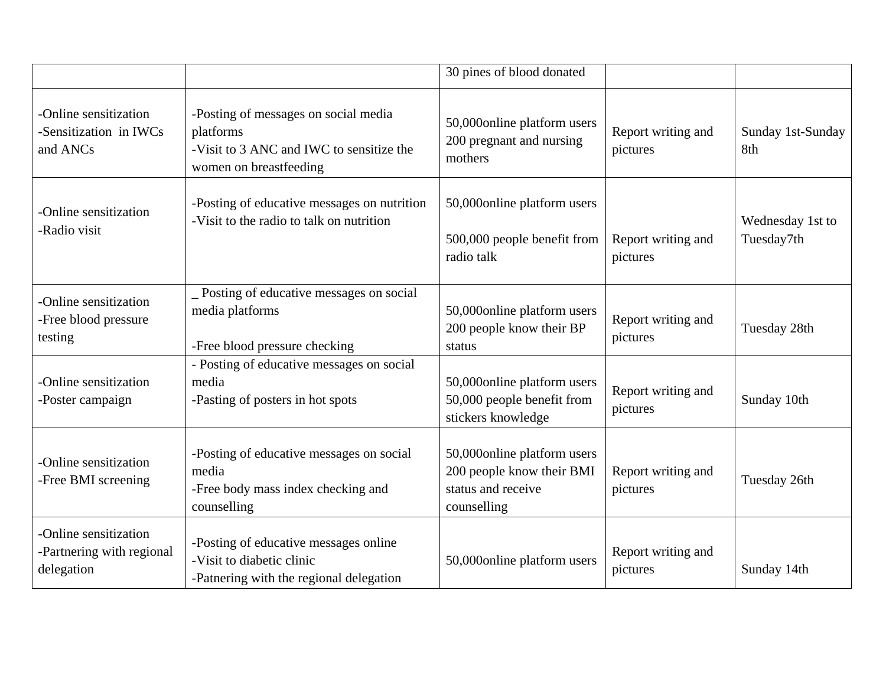|                                                                  |                                                                                                                         | 30 pines of blood donated                                                                     |                                |                                |
|------------------------------------------------------------------|-------------------------------------------------------------------------------------------------------------------------|-----------------------------------------------------------------------------------------------|--------------------------------|--------------------------------|
| -Online sensitization<br>-Sensitization in IWCs<br>and ANCs      | -Posting of messages on social media<br>platforms<br>-Visit to 3 ANC and IWC to sensitize the<br>women on breastfeeding | 50,000online platform users<br>200 pregnant and nursing<br>mothers                            | Report writing and<br>pictures | Sunday 1st-Sunday<br>8th       |
| -Online sensitization<br>-Radio visit                            | -Posting of educative messages on nutrition<br>-Visit to the radio to talk on nutrition                                 | 50,000online platform users<br>500,000 people benefit from<br>radio talk                      | Report writing and<br>pictures | Wednesday 1st to<br>Tuesday7th |
| -Online sensitization<br>-Free blood pressure<br>testing         | _ Posting of educative messages on social<br>media platforms<br>-Free blood pressure checking                           | 50,000online platform users<br>200 people know their BP<br>status                             | Report writing and<br>pictures | Tuesday 28th                   |
| -Online sensitization<br>-Poster campaign                        | - Posting of educative messages on social<br>media<br>-Pasting of posters in hot spots                                  | 50,000online platform users<br>50,000 people benefit from<br>stickers knowledge               | Report writing and<br>pictures | Sunday 10th                    |
| -Online sensitization<br>-Free BMI screening                     | -Posting of educative messages on social<br>media<br>-Free body mass index checking and<br>counselling                  | 50,000online platform users<br>200 people know their BMI<br>status and receive<br>counselling | Report writing and<br>pictures | Tuesday 26th                   |
| -Online sensitization<br>-Partnering with regional<br>delegation | -Posting of educative messages online<br>-Visit to diabetic clinic<br>-Patnering with the regional delegation           | 50,000online platform users                                                                   | Report writing and<br>pictures | Sunday 14th                    |